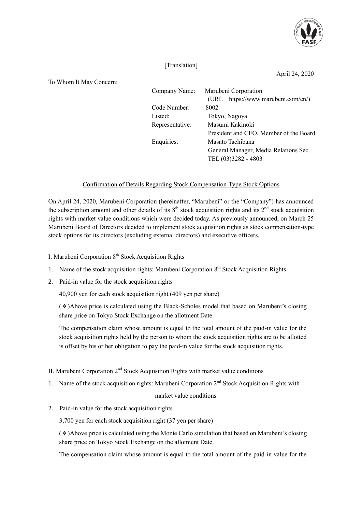

## [Translation]

April 24, 2020

To Whom It May Concern:

| $\ldots$ |                 |                                        |
|----------|-----------------|----------------------------------------|
|          | Company Name:   | Marubeni Corporation                   |
|          |                 | (URL https://www.marubeni.com/en/)     |
|          | Code Number:    | 8002                                   |
|          | Listed:         | Tokyo, Nagoya                          |
|          | Representative: | Masumi Kakinoki                        |
|          |                 | President and CEO, Member of the Board |
|          | Enquiries:      | Masato Tachibana                       |
|          |                 | General Manager, Media Relations Sec.  |
|          |                 | TEL (03)3282 - 4803                    |

## Confirmation of Details Regarding Stock Compensation-Type Stock Options

On April 24, 2020, Marubeni Corporation (hereinafter, "Marubeni" or the "Company") has announced the subscription amount and other details of its  $8<sup>th</sup>$  stock acquisition rights and its  $2<sup>nd</sup>$  stock acquisition rights with market value conditions which were decided today. As previously announced, on March 25 Marubeni Board of Directors decided to implement stock acquisition rights as stock compensation-type stock options for its directors (excluding external directors) and executive officers.

I. Marubeni Corporation 8<sup>th</sup> Stock Acquisition Rights

- 1. Name of the stock acquisition rights: Marubeni Corporation 8<sup>th</sup> Stock Acquisition Rights
- 2. Paid-in value for the stock acquisition rights

40,900 yen for each stock acquisition right (409 yen per share)

1. (\*)Above price is calculated using the Black-Scholes model that based on Marubeni's closing share price on Tokyo Stock Exchange on the allotment Date.

The compensation claim whose amount is equal to the total amount of the paid-in value for the stock acquisition rights held by the person to whom the stock acquisition rights are to be allotted is offset by his or her obligation to pay the paid-in value for the stock acquisition rights.

- II. Marubeni Corporation 2<sup>nd</sup> Stock Acquisition Rights with market value conditions
- 1. Name of the stock acquisition rights: Marubeni Corporation 2<sup>nd</sup> Stock Acquisition Rights with

## market value conditions

2. Paid-in value for the stock acquisition rights

3,700 yen for each stock acquisition right (37 yen per share)

3. (\*)Above price is calculated using the Monte Carlo simulation that based on Marubeni's closing share price on Tokyo Stock Exchange on the allotment Date.

The compensation claim whose amount is equal to the total amount of the paid-in value for the